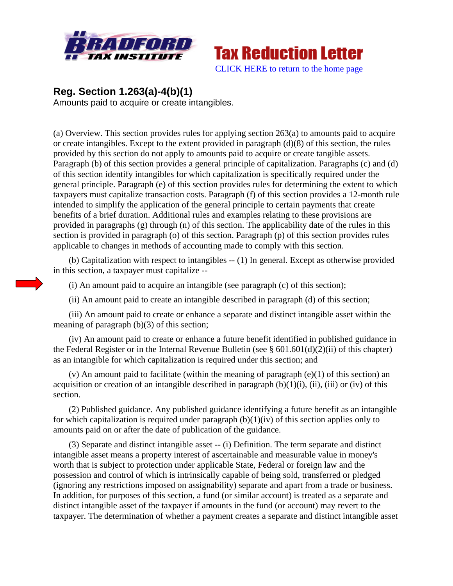



## **Reg. Section 1.263(a)-4(b)(1)**

Amounts paid to acquire or create intangibles.

(a) Overview. This section provides rules for applying section 263(a) to amounts paid to acquire or create intangibles. Except to the extent provided in paragraph (d)(8) of this section, the rules provided by this section do not apply to amounts paid to acquire or create tangible assets. Paragraph (b) of this section provides a general principle of capitalization. Paragraphs (c) and (d) of this section identify intangibles for which capitalization is specifically required under the general principle. Paragraph (e) of this section provides rules for determining the extent to which taxpayers must capitalize transaction costs. Paragraph (f) of this section provides a 12-month rule intended to simplify the application of the general principle to certain payments that create benefits of a brief duration. Additional rules and examples relating to these provisions are provided in paragraphs (g) through (n) of this section. The applicability date of the rules in this section is provided in paragraph (o) of this section. Paragraph (p) of this section provides rules applicable to changes in methods of accounting made to comply with this section.

 (b) Capitalization with respect to intangibles -- (1) In general. Except as otherwise provided in this section, a taxpayer must capitalize --

(i) An amount paid to acquire an intangible (see paragraph (c) of this section);

(ii) An amount paid to create an intangible described in paragraph (d) of this section;

 (iii) An amount paid to create or enhance a separate and distinct intangible asset within the meaning of paragraph (b)(3) of this section;

 (iv) An amount paid to create or enhance a future benefit identified in published guidance in the Federal Register or in the Internal Revenue Bulletin (see  $\S 601.601(d)(2)(ii)$  of this chapter) as an intangible for which capitalization is required under this section; and

 (v) An amount paid to facilitate (within the meaning of paragraph (e)(1) of this section) an acquisition or creation of an intangible described in paragraph  $(b)(1)(i)$ , (ii), (iii) or (iv) of this section.

 (2) Published guidance. Any published guidance identifying a future benefit as an intangible for which capitalization is required under paragraph  $(b)(1)(iv)$  of this section applies only to amounts paid on or after the date of publication of the guidance.

 (3) Separate and distinct intangible asset -- (i) Definition. The term separate and distinct intangible asset means a property interest of ascertainable and measurable value in money's worth that is subject to protection under applicable State, Federal or foreign law and the possession and control of which is intrinsically capable of being sold, transferred or pledged (ignoring any restrictions imposed on assignability) separate and apart from a trade or business. In addition, for purposes of this section, a fund (or similar account) is treated as a separate and distinct intangible asset of the taxpayer if amounts in the fund (or account) may revert to the taxpayer. The determination of whether a payment creates a separate and distinct intangible asset